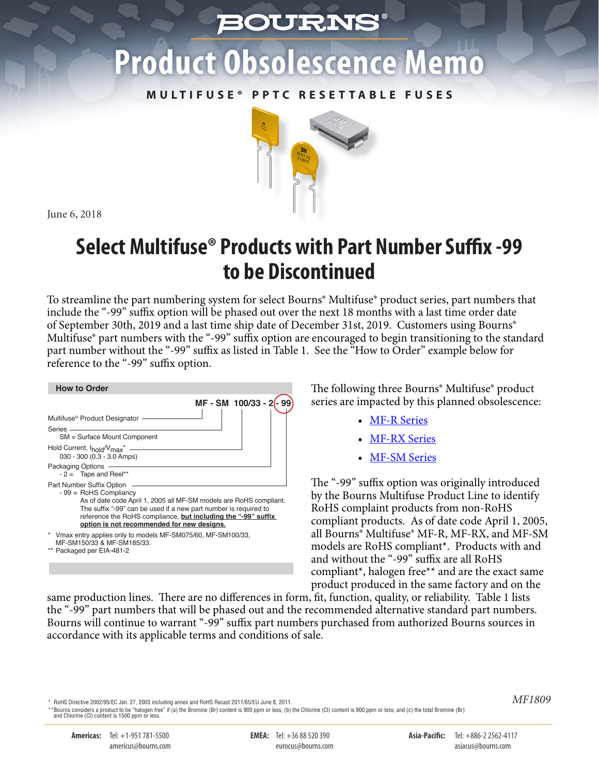## *BOURNS*

# **Product Obsolescence Memo**

**M U LT I F U S E ® P P TC R E S E T TA B L E F U S E S**



June 6, 2018

## **Select Multifuse® Products with Part Number Suffix -99 to be Discontinued**

To streamline the part numbering system for select Bourns® Multifuse® product series, part numbers that include the "-99" suffix option will be phased out over the next 18 months with a last time order date of September 30th, 2019 and a last time ship date of December 31st, 2019. Customers using Bourns® Multifuse® part numbers with the "-99" suffix option are encouraged to begin transitioning to the standard part number without the "-99" suffix as listed in Table 1. See the "How to Order" example below for reference to the "-99" suffix option.

| <b>How to Order</b>                                                                                                                                                                                                                                                                                           |
|---------------------------------------------------------------------------------------------------------------------------------------------------------------------------------------------------------------------------------------------------------------------------------------------------------------|
| MF-SM 100/33-2                                                                                                                                                                                                                                                                                                |
| Multifuse <sup>®</sup> Product Designator                                                                                                                                                                                                                                                                     |
| Series -<br>SM = Surface Mount Component                                                                                                                                                                                                                                                                      |
| Hold Current, I <sub>hold</sub> /V <sub>max</sub> <sup>*</sup> -<br>030 - 300 (0.3 - 3.0 Amps)                                                                                                                                                                                                                |
| Packaging Options -<br>$-2 =$ Tape and Reel**                                                                                                                                                                                                                                                                 |
| Part Number Suffix Option<br>$-99 =$ RoHS Compliancy<br>As of date code April 1, 2005 all MF-SM models are RoHS compliant.<br>The suffix "-99" can be used if a new part number is required to<br>reference the RoHS compliance, but including the "-99" suffix<br>option is not recommended for new designs. |
| * Vmax entry applies only to models MF-SM075/60, MF-SM100/33,<br>MF-SM150/33 & MF-SM185/33.<br>** Packaged per EIA-481-2                                                                                                                                                                                      |
|                                                                                                                                                                                                                                                                                                               |

The following three Bourns® Multifuse® product series are impacted by this planned obsolescence:

- [MF-R Series](http://www.bourns.com/docs/Product-Datasheets/mfr.pdf)
- [MF-RX Series](http://www.bourns.com/docs/Product-Datasheets/mfrx.pdf)
- [MF-SM Series](http://www.bourns.com/docs/Product-Datasheets/mfsm.pdf)

The "-99" suffix option was originally introduced by the Bourns Multifuse Product Line to identify RoHS complaint products from non-RoHS compliant products. As of date code April 1, 2005, all Bourns® Multifuse® MF-R, MF-RX, and MF-SM models are RoHS compliant\*. Products with and and without the "-99" suffix are all RoHS compliant\*, halogen free\*\* and are the exact same product produced in the same factory and on the

same production lines. There are no differences in form, fit, function, quality, or reliability. Table 1 lists the "-99" part numbers that will be phased out and the recommended alternative standard part numbers. Bourns will continue to warrant "-99" suffix part numbers purchased from authorized Bourns sources in accordance with its applicable terms and conditions of sale.

RoHS Directive 2002/95/EC Jan. 27, 2003 including annex and RoHS Recast 2011/65/EU June 8, 2011.

\*\*Bourns considers a product to be "halogen free" if (a) the Bromine (Br) content is 900 ppm or less; (b) the Chlorine (Cl) content is 900 ppm or less; and (c) the total Bromine (Br)<br>and Chlorine (Cl) content is 1500 ppm o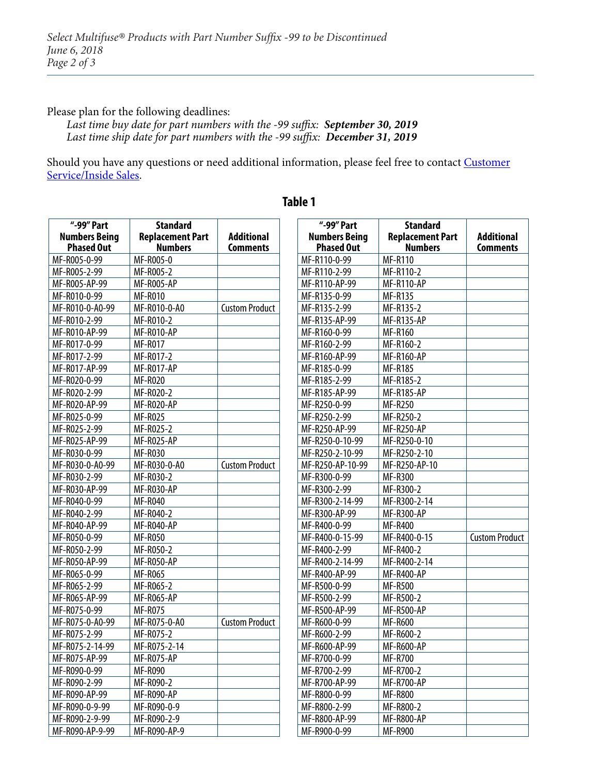#### Please plan for the following deadlines:

 $\Gamma$ 

*Last time buy date for part numbers with the -99 suffix: September 30, 2019 Last time ship date for part numbers with the -99 suffix: December 31, 2019*

[Should you have any questions or need additional information, please feel free to contact Customer](http://www.bourns.com/support/contact) Service/Inside Sales.

| "-99" Part           | <b>Standard</b>         |                       |
|----------------------|-------------------------|-----------------------|
| <b>Numbers Being</b> | <b>Replacement Part</b> | <b>Additional</b>     |
| <b>Phased Out</b>    | <b>Numbers</b>          | <b>Comments</b>       |
| MF-R005-0-99         | MF-R005-0               |                       |
| MF-R005-2-99         | MF-R005-2               |                       |
| MF-R005-AP-99        | <b>MF-R005-AP</b>       |                       |
| MF-R010-0-99         | <b>MF-R010</b>          |                       |
| MF-R010-0-A0-99      | MF-R010-0-A0            | <b>Custom Product</b> |
| MF-R010-2-99         | MF-R010-2               |                       |
| MF-R010-AP-99        | MF-R010-AP              |                       |
| MF-R017-0-99         | <b>MF-R017</b>          |                       |
| MF-R017-2-99         | MF-R017-2               |                       |
| MF-R017-AP-99        | MF-R017-AP              |                       |
| MF-R020-0-99         | <b>MF-R020</b>          |                       |
| MF-R020-2-99         | MF-R020-2               |                       |
| MF-R020-AP-99        | MF-R020-AP              |                       |
| MF-R025-0-99         | <b>MF-R025</b>          |                       |
| MF-R025-2-99         | MF-R025-2               |                       |
| MF-R025-AP-99        | MF-R025-AP              |                       |
| MF-R030-0-99         | <b>MF-R030</b>          |                       |
| MF-R030-0-A0-99      | MF-R030-0-A0            | <b>Custom Product</b> |
| MF-R030-2-99         | MF-R030-2               |                       |
| MF-R030-AP-99        | MF-R030-AP              |                       |
| MF-R040-0-99         | <b>MF-R040</b>          |                       |
| MF-R040-2-99         | MF-R040-2               |                       |
| MF-R040-AP-99        | MF-R040-AP              |                       |
| MF-R050-0-99         | <b>MF-R050</b>          |                       |
| MF-R050-2-99         | MF-R050-2               |                       |
| MF-R050-AP-99        | MF-R050-AP              |                       |
| MF-R065-0-99         | <b>MF-R065</b>          |                       |
| MF-R065-2-99         | MF-R065-2               |                       |
| MF-R065-AP-99        | <b>MF-R065-AP</b>       |                       |
| MF-R075-0-99         | <b>MF-R075</b>          |                       |
| MF-R075-0-A0-99      | MF-R075-0-A0            | <b>Custom Product</b> |
| MF-R075-2-99         | MF-R075-2               |                       |
| MF-R075-2-14-99      | MF-R075-2-14            |                       |
| MF-R075-AP-99        | MF-R075-AP              |                       |
| MF-R090-0-99         | <b>MF-R090</b>          |                       |
| MF-R090-2-99         | MF-R090-2               |                       |
| MF-R090-AP-99        | MF-R090-AP              |                       |
| MF-R090-0-9-99       | MF-R090-0-9             |                       |
| MF-R090-2-9-99       | MF-R090-2-9             |                       |
| MF-R090-AP-9-99      | MF-R090-AP-9            |                       |

#### **Table 1**

| "-99" Part           | <b>Standard</b>         |                       |
|----------------------|-------------------------|-----------------------|
| <b>Numbers Being</b> | <b>Replacement Part</b> | Additional            |
| <b>Phased Out</b>    | <b>Numbers</b>          | Comments              |
| MF-R110-0-99         | <b>MF-R110</b>          |                       |
| MF-R110-2-99         | MF-R110-2               |                       |
| MF-R110-AP-99        | <b>MF-R110-AP</b>       |                       |
| MF-R135-0-99         | <b>MF-R135</b>          |                       |
| MF-R135-2-99         | MF-R135-2               |                       |
| MF-R135-AP-99        | <b>MF-R135-AP</b>       |                       |
| MF-R160-0-99         | <b>MF-R160</b>          |                       |
| MF-R160-2-99         | MF-R160-2               |                       |
| MF-R160-AP-99        | <b>MF-R160-AP</b>       |                       |
| MF-R185-0-99         | <b>MF-R185</b>          |                       |
| MF-R185-2-99         | MF-R185-2               |                       |
| MF-R185-AP-99        | <b>MF-R185-AP</b>       |                       |
| MF-R250-0-99         | <b>MF-R250</b>          |                       |
| MF-R250-2-99         | MF-R250-2               |                       |
| MF-R250-AP-99        | <b>MF-R250-AP</b>       |                       |
| MF-R250-0-10-99      | MF-R250-0-10            |                       |
| MF-R250-2-10-99      | MF-R250-2-10            |                       |
| MF-R250-AP-10-99     | MF-R250-AP-10           |                       |
| MF-R300-0-99         | <b>MF-R300</b>          |                       |
| MF-R300-2-99         | MF-R300-2               |                       |
| MF-R300-2-14-99      | MF-R300-2-14            |                       |
| MF-R300-AP-99        | <b>MF-R300-AP</b>       |                       |
| MF-R400-0-99         | <b>MF-R400</b>          |                       |
| MF-R400-0-15-99      | MF-R400-0-15            | <b>Custom Product</b> |
| MF-R400-2-99         | MF-R400-2               |                       |
| MF-R400-2-14-99      | MF-R400-2-14            |                       |
| MF-R400-AP-99        | <b>MF-R400-AP</b>       |                       |
| MF-R500-0-99         | <b>MF-R500</b>          |                       |
| MF-R500-2-99         | MF-R500-2               |                       |
| MF-R500-AP-99        | <b>MF-R500-AP</b>       |                       |
| MF-R600-0-99         | <b>MF-R600</b>          |                       |
| MF-R600-2-99         | MF-R600-2               |                       |
| MF-R600-AP-99        | <b>MF-R600-AP</b>       |                       |
| MF-R700-0-99         | MF-R700                 |                       |
| MF-R700-2-99         | MF-R700-2               |                       |
| MF-R700-AP-99        | <b>MF-R700-AP</b>       |                       |
| MF-R800-0-99         | <b>MF-R800</b>          |                       |
| MF-R800-2-99         | MF-R800-2               |                       |
| MF-R800-AP-99        | <b>MF-R800-AP</b>       |                       |
| MF-R900-0-99         | <b>MF-R900</b>          |                       |